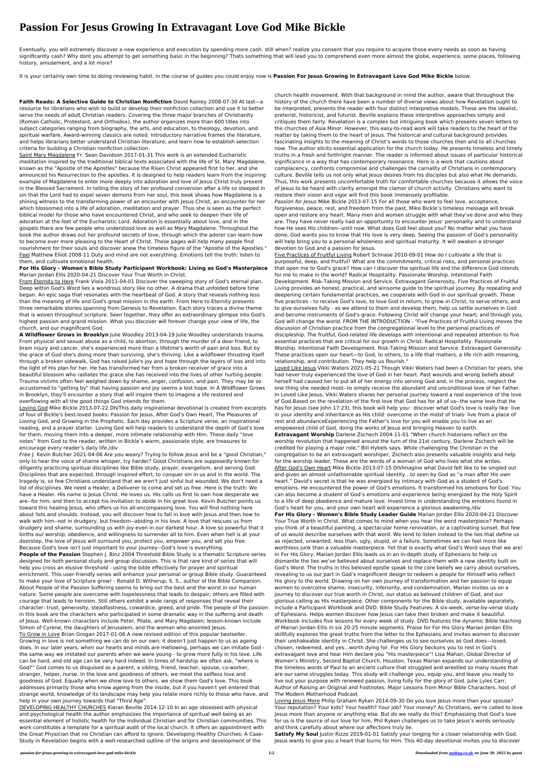## **Passion For Jesus Growing In Extravagant Love God Mike Bickle**

Eventually, you will extremely discover a new experience and execution by spending more cash. still when? realize you consent that you require to acquire those every needs as soon as having significantly cash? Why dont you attempt to get something basic in the beginning? Thats something that will lead you to comprehend even more almost the globe, experience, some places, following history, amusement, and a lot more?

It is your certainly own time to doing reviewing habit. in the course of guides you could enjoy now is **Passion For Jesus Growing In Extravagant Love God Mike Bickle** below.

**Faith Reads: A Selective Guide to Christian Nonfiction** David Rainey 2008-07-30 At last—a resource for librarians who wish to build or develop their nonfiction collection and use it to better serve the needs of adult Christian readers. Covering the three major branches of Christianity (Roman Catholic, Protestant, and Orthodox), the author organizes more than 600 titles into subject categories ranging from biography, the arts, and education, to theology, devotion, and spiritual warfare. Award-winning classics are noted. Introductory narrative frames the literature, and helps librarians better understand Christian literature; and learn how to establish selection criteria for building a Christian nonfiction collection.

Saint Mary Magdalene Fr. Sean Davidson 2017-01-31 This work is an extended Eucharistic meditation inspired by the traditional biblical texts associated with the life of St. Mary Magdalene, known as the "Apostle of the Apostles" because the Risen Christ appeared first to her, and she announced his Resurrection to the apostles. It is designed to help readers learn from the inspiring example of Magdalene to enter more deeply into adoration and love of Jesus Christ truly present in the Blessed Sacrament. In telling the story of her profound conversion after a life so steeped in sin that the Lord had to expel seven demons from her soul, this book shows how Magdalene is a shining witness to the transforming power of an encounter with Jesus Christ, an encounter for her which blossomed into a life of adoration, meditation and prayer. Thus she is seen as the perfect biblical model for those who have encountered Christ, and who seek to deepen their life of adoration at the feet of the Eucharistic Lord. Adoration is essentially about love, and in the gospels there are few people who understood love as well as Mary Magdalene. Throughout the book the author draws out her profound secrets of love, through which the adorer can learn how to become ever more pleasing to the Heart of Christ. These pages will help many people find nourishment for their souls and discover anew the timeless figure of the "Apostle of the Apostles." Feel Matthew Elliot 2008-11 Duty and mind are not everything. Emotions tell the truth: listen to them, and cultivate emotional health.

## **For His Glory - Women's Bible Study Participant Workbook: Living as God's Masterpiece** Marian Jordan Ellis 2020-04-21 Discover Your True Worth in Christ.

From Eternity to Here Frank Viola 2011-04-01 Discover the sweeping story of God's eternal plan. Deep within God's Word lies a wondrous story like no other. A drama that unfolded before time began. An epic saga that resonates with the heartbeat of God. A story that reveals nothing less than the meaning of life and God's great mission in the earth. From Here to Eternity presents three remarkable stories spanning from Genesis to Revelation. Each story traces a divine theme that is woven throughout scripture. Seen together, they offer an extraordinary glimpse into God's highest passion and grand mission. What you discover will forever change your view of life, the church, and our magnificent God.

**A Wildflower Grows in Brooklyn** Julie Woodley 2013-04-19 Julie Woodley understands trauma. From physical and sexual abuse as a child, to abortion, through the murder of a dear friend, to brain injury and cancer, she's experienced more than a lifetime's worth of pain and loss. But by the grace of God she's doing more than surviving, she's thriving. Like a wildflower thrusting itself through a broken sidewalk, God has raised Julie's joy and hope through the layers of loss and into the light of His plan for her. He has transformed her from a broken receiver of grace into a beautiful blossom who radiates the grace she has received into the lives of other hurting people. Trauma victims often feel weighed down by shame, anger, confusion, and pain. They may be so accustomed to "getting by" that having passion and joy seems a lost hope. In A Wildflower Grows in Brooklyn, they'll encounter a story that will inspire them to imagine a life restored and overflowing with all the good things God intends for them.

Loving God Mike Bickle 2013-07-22 DIVThis daily inspirational devotional is created from excerpts

of four of Bickle's best-loved books: Passion for Jesus, After God's Own Heart, The Pleasures of Loving God, and Growing in the Prophetic. Each day provides a Scripture verse, an inspirational reading, and a prayer starter. Loving God will help readers to understand the depth of God's love for them, moving them into a deeper, more intimate relationship with Him. These daily "love notes" from God to the reader, written in Bickle's warm, passionate style, are treasures to encourage every reader's daily life./div

Free J. Kevin Butcher 2021-04-06 Are you weary? Trying to follow Jesus and be a "good Christian," only to hear the voice of shame whisper, try harder? Good Christians are supposedly known for diligently practicing spiritual disciplines like Bible study, prayer, evangelism, and serving God. Disciplines that are expected, through inspired effort, to conquer sin in us and in the world. The tragedy is, so few Christians understand that we aren't just sinful but wounded. We don't need a list of disciplines. We need a Healer, a Deliverer to come and set us free. Here is the truth: We have a Healer. His name is Jesus Christ. He loves us. His calls us first to own how desperate we are--for him; and then to accept his invitation to abide in his great love. Kevin Butcher points us toward this healing Jesus, who offers us his all-encompassing love. You will find nothing here about lists and shoulds. Instead, you will discover how to fall in love with Jesus and then how to walk with him--not in drudgery, but freedom--abiding in his love. A love that rescues us from drudgery and shame, surrounding us with joy even in our darkest hour. A love so powerful that it births our worship, obedience, and willingness to surrender all to him. Even when hell is at your doorstep, the love of Jesus will surround you, protect you, empower you, and set you free. Because God's love isn't just important to your journey--God's love is everything. **People of the Passion** Stephen J. Binz 2004 Threshold Bible Study is a thematic Scripture series designed for both personal study and group discussion. This is that rare kind of series that will help you cross an elusive threshold - using the bible effectively for prayer and spiritual enrichment. This user-friendly series will enhance your personal or group Bible study. Guaranteed to make your love of Scripture grow! - Ronald D. Witherup, S. S., author of the Bible Companion. About People of the Passion Suffering seems to bring out the best and the worst in our human nature. Some people are overcome with hopelessness that leads to despair; others are filled with courage that leads to heroism. Still others exhibit a wide rangs of responses that reveal their character: trust, generosity, steadfastness, cowardice, greed, and pride. The people of the passion in this book are the characters who participated in some dramatic way in the sufferng and death of Jesus. Well-known characters include Peter, Pilate, and Mary Magdalen; lesson-known include Simon of Cyrene, the daughters of Jerusalem, and the woman who anointed Jesus. To Grow in Love Brian Grogan 2017-01-06 A new revised edition of this popular bestseller. Growing in love is not something we can do on our own; it doesn't just happen to us as ageing does. In our later years, when our hearts and minds are mellowing, perhaps we can imitate God the same way we imitated our parents when we were young - to grow more fully in his love. Life can be hard, and old age can be very hard indeed. In times of hardship we often ask, "where is God?" God comes to us disguised as a parent, a sibling, friend, teacher, spouse, co-worker, stranger, helper, nurse. In the love and goodness of others, we meet the selfless love and goodness of God. Equally when we show love to others, we show them God's love. This book addresses primarily those who know ageing from the inside, but if you haven't yet entered that strange world, knowledge of its landscape may help you relate more richly to those who have, and help in your own journey towards that "Third Age".

> **Satisfy My Soul** Justin Rizzo 2019-01-01 Satisfy your longing for a closer relationship with God. Jesus wants to give you a heart that burns for Him. This 40-day devotional invites you to discover

DEVELOPING HEALTHY CHURCHES Kieran Beville 2014-12-10 In an age obsessed with physical and psychological health the author emphasizes the importance of spiritual well-being as an essential element of holistic health for the individual Christian and for Christian communities. This work constitutes a template for a spiritual audit of the local church. It offers an appointment with the Great Physician that no Christian can afford to ignore. Developing Healthy Churches: A Case-Study in Revelation begins with a well-researched outline of the origins and development of the

church health movement. With that background in mind the author, aware that throughout the history of the church there have been a number of diverse views about how Revelation ought to be interpreted, presents the reader with four distinct interpretive models. These are the idealist, preterist, historicist, and futurist. Beville explains these interpretive approaches simply and critiques them fairly. Revelation is a complex but intriguing book which presents seven letters to the churches of Asia Minor. However, this easy-to-read work will take readers to the heart of the matter by taking them to the heart of Jesus. The historical and cultural background provides fascinating insights to the meaning of Christ's words to those churches then and to all churches now. The author elicits essential application for the church today. He presents timeless and timely truths in a fresh and forthright manner. The reader is informed about issues of particular historical significance in a way that has contemporary resonance. Here is a work that cautions about complacency, confronts compromise and challenges the carnality of Christians in contemporary culture. Beville tells us not only what Jesus desires from his disciples but also what He demands. Thus, this work presents uncomfortable truth for comfortable churches because it allows the voice of Jesus to be heard with clarity amongst the clamor of church activity. Christians who want to restore their vision and vigor will find this book immensely profitable.

Passion for Jesus Mike Bickle 2013-07-15 For all those who want to feel love, acceptance, forgiveness, peace, rest, and freedom from the past, Mike Bickle's timeless message will break open and restore any heart. Many men and women struggle with what they've done and who they are. They have never really had an opportunity to encounter Jesus' personality and to understand how He sees His children--until now. What does God feel about you? No matter what you have done, God wants you to know that His love is very deep. Seeing the passion of God's personality will help bring you to a personal wholeness and spiritual maturity. It will awaken a stronger devotion to God and a passion for Jesus.

Five Practices of Fruitful Living Robert Schnase 2010-09-01 How do I cultivate a life that is purposeful, deep, and fruitful? What are the commitments, critical risks, and personal practices that open me to God's grace? How can I discover the spiritual life and the difference God intends for me to make in the world? Radical Hospitality. Passionate Worship. Intentional Faith Development. Risk-Taking Mission and Service. Extravagant Generosity. Five Practices of Fruitful Living provides an honest, practical, and winsome guide to the spiritual journey. By repeating and deepening certain fundamental practices, we cooperate with God in our spiritual growth. These five practices - to receive God's love, to love God in return, to grow in Christ, to serve others, and to give ourselves fully - as we attend to them and develop them, help us settle ourselves in God and become instruments of God's grace. Following Christ will change your heart; and through you, God will change the world. FROM THE INTRODUCTION - "Five Practices of Fruitful Living moves the discussion of Christian practice from the congregational level to the personal practices of discipleship. The fruitful, God-related life develops with intentional and repeated attention to five essential practices that are critical for our growth in Christ. Radical Hospitality. Passionate Worship. Intentional Faith Development. Risk-Taking Mission and Service. Extravagant Generosity. These practices open our heart—to God, to others, to a life that matters, a life rich with meaning, relationship, and contribution. They help us flourish."

Loved Like Jesus Vikki Waters 2021-05-21 Though Vikki Waters had been a Christian for years, she had never truly experienced the love of God in her heart. Past wounds and wrong beliefs about herself had caused her to put all of her energy into serving God and, in the process, neglect the one thing she needed most--to simply receive the abundant and unconditional love of her Father. In Loved Like Jesus, Vikki Waters shares her personal journey toward a real experience of the love of God.Based on the revelation of the first love that God has for all of us--the same love that He has for Jesus (see John 17:23), this book will help you:· discover what God's love is really like· live in your identity and inheritance as His child· overcome in the midst of trials· live from a place of rest and abundanceExperiencing the Father's love for you will enable you to live as an empowered child of God, doing the works of Jesus and bringing Heaven to earth. **Extravagant Worship** Darlene Zschech 2004-11-01 "When church historians reflect on the worship revolution that happened around the turn of the 21st century, Darlene Zschech will be credited for playing a major role," Bill Hybels says. While challenging the Christian in the congregation to be an extravagant worshiper, Zschech also presents valuable insights and help for the worship leader. These are the words of a woman of God who lives what she writes. After God's Own Heart Mike Bickle 2013-07-15 DIVImagine what David felt like to be singled out and given an almost unfathomable spiritual identity…to seen by God as "a man after His own heart." David's secret is that he was energized by intimacy with God as a student of God's emotions. He encountered the power of God's emotions. It transformed his emotions for God. You can also become a student of God's emotions and experience being energized by the Holy Spirit to a life of deep obedience and mature love. Invest time in understanding the emotions found in God's heart for you, and your own heart will experience a glorious awakening./div **For His Glory - Women's Bible Study Leader Guide** Marian Jordan Ellis 2020-04-21 Discover Your True Worth in Christ. What comes to mind when you hear the word masterpiece? Perhaps you think of a beautiful painting, a spectacular home renovation, or a captivating sunset. But few of us would describe ourselves with that word. We tend to listen instead to the lies that define us as rejected, unwanted, less than, ugly, stupid, or a failure. Sometimes we can feel more like worthless junk than a valuable masterpiece. Yet that is exactly what God's Word says that we are! In For His Glory, Marian Jordan Ellis leads us in an in-depth study of Ephesians to help us dismantle the lies we've believed about ourselves and replace them with a new identity built on God's Word. The truths in this beloved epistle speak to the core beliefs we carry about ourselves, revealing to us our part in God's magnificent design to redeem a people for Himself who reflect His glory to the world. Drawing on her own journey of transformation and her passion to equip women to overcome shame, insecurity, inferiority, and condemnation, Marian invites us on a journey to discover our true worth in Christ, our status as beloved children of God, and our glorious calling as His masterpiece. Other components for the Bible study, available separately, include a Participant Workbook and DVD. Bible Study Features: A six-week, verse-by-verse study of Ephesians. Helps women discover how Jesus can take their broken and make it beautiful. Workbook includes five lessons for every week of study. DVD features the dynamic Bible teaching of Marian Jordan Ellis in six 20-25 minute segments. Praise for For His Glory Marian Jordan Ellis skillfully explores the great truths from the letter to the Ephesians and invites women to discover their unshakeable identity in Christ. She challenges us to see ourselves as God does—loved, chosen, redeemed, and yes…worth dying for. For His Glory beckons you to rest in God's extravagant love and hear Him declare you "His masterpiece"! Lisa Mahan, Global Director of Women's Ministry, Second Baptist Church, Houston, Texas Marian expands our understanding of the timeless words of Paul to an ancient culture that struggled and wrestled so many issues that are our same struggles today. This study will challenge you, equip you, and leave you ready to live out your purpose with renewed passion, living fully for the glory of God. Julie Lyles Carr, Author of Raising an Original and Footnotes: Major Lessons from Minor Bible Characters, host of The Modern Motherhood Podcast

Loving Jesus More Philip Graham Ryken 2014-09-30 Do you love Jesus more than your spouse? Your reputation? Your kids? Your health? Your job? Your money? As Christians, we're called to love Jesus more than anyone or anything else. But do we really do this? Emphasizing that God's love for us is the source of our love for him, Phil Ryken challenges us to take Jesus's words seriously and think carefully about where our affections truly lie.